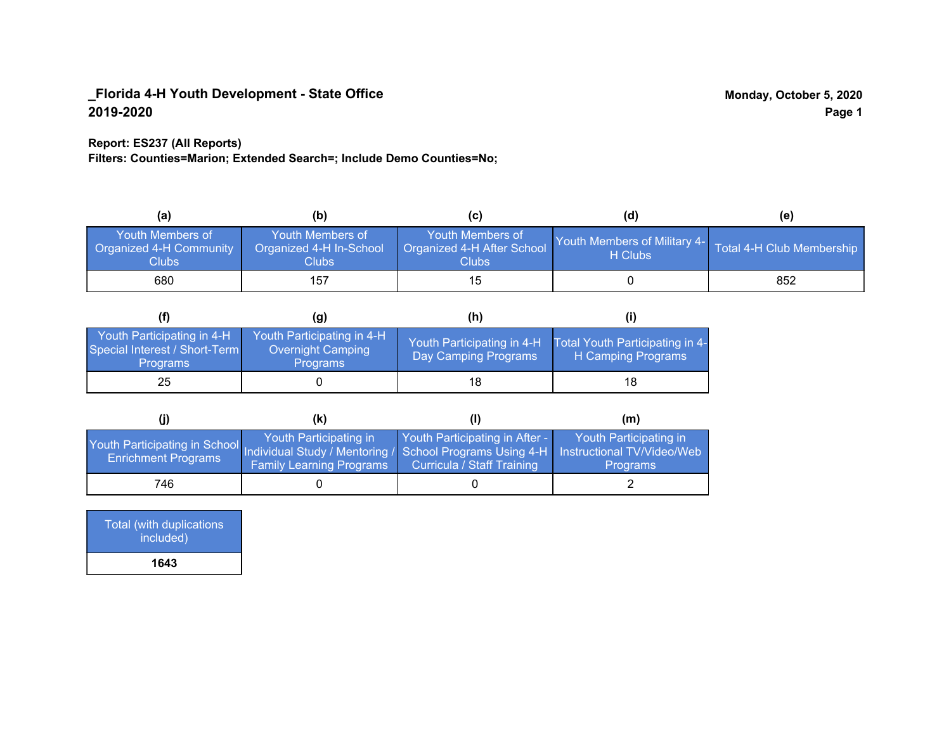### **Report: ES237 (All Reports)**

**Filters: Counties=Marion; Extended Search=; Include Demo Counties=No;**

| (a)                                                         | (b)                                                         | (C)                                                      | (d)                                     | (e)                       |
|-------------------------------------------------------------|-------------------------------------------------------------|----------------------------------------------------------|-----------------------------------------|---------------------------|
| <b>Youth Members of</b><br>Organized 4-H Community<br>Clubs | <b>Youth Members of</b><br>Organized 4-H In-School<br>Clubs | Youth Members of<br>Organized 4-H After School<br>Clubs: | Youth Members of Military 4-<br>H Clubs | Total 4-H Club Membership |
| 680                                                         | 157                                                         | 15                                                       |                                         | 852                       |

|                                                                                | (q)                                                                | (h)                                                |                                                       |
|--------------------------------------------------------------------------------|--------------------------------------------------------------------|----------------------------------------------------|-------------------------------------------------------|
| Youth Participating in 4-H<br>Special Interest / Short-Term<br><b>Programs</b> | Youth Participating in 4-H<br>Overnight Camping<br><b>Programs</b> | Youth Participating in 4-H<br>Day Camping Programs | Total Youth Participating in 4-<br>H Camping Programs |
| 25                                                                             |                                                                    | 18                                                 | 18                                                    |

|                                                                                                                                                 | (k)                                                       |                                                                     | (m)                                       |
|-------------------------------------------------------------------------------------------------------------------------------------------------|-----------------------------------------------------------|---------------------------------------------------------------------|-------------------------------------------|
| Youth Participating in School Individual Study / Mentoring / School Programs Using 4-H Instructional TV/Video/Web<br><b>Enrichment Programs</b> | Youth Participating in<br><b>Family Learning Programs</b> | Youth Participating in After -<br><b>Curricula / Staff Training</b> | Youth Participating in<br><b>Programs</b> |
| 746                                                                                                                                             |                                                           |                                                                     |                                           |

Total (with duplications included) **1643**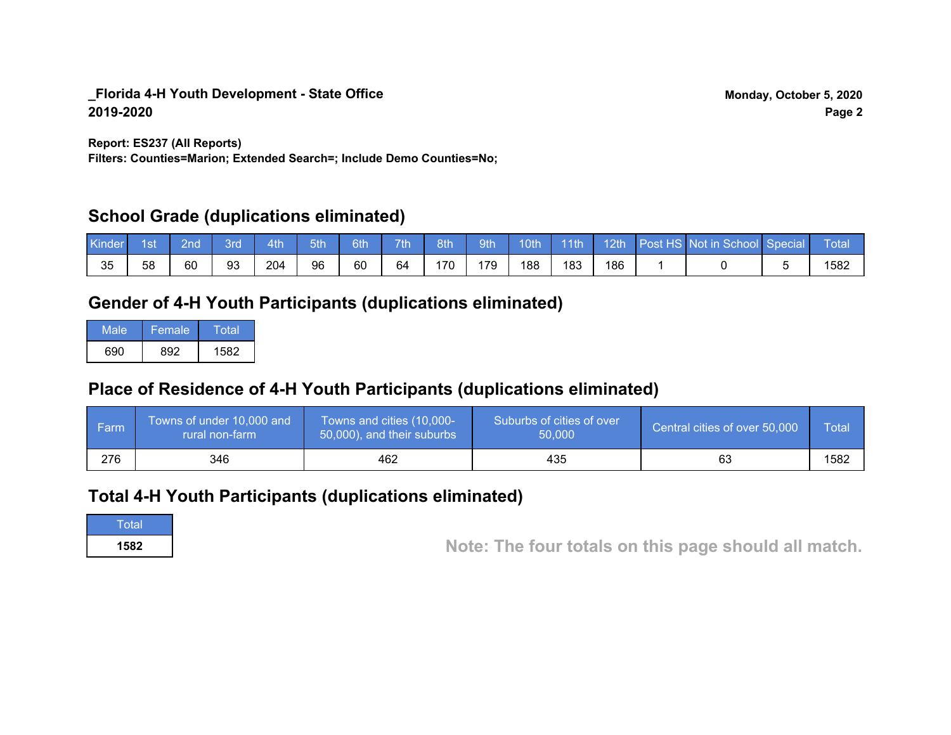**Report: ES237 (All Reports)**

**Filters: Counties=Marion; Extended Search=; Include Demo Counties=No;**

## **School Grade (duplications eliminated)**

| Kinder | 1st | 2nd | Bro | 4th | 5th | 6th | 7th | 8th | 9th | 10th | $-11$ th | 12th | Post HS Not in School Special | Total |
|--------|-----|-----|-----|-----|-----|-----|-----|-----|-----|------|----------|------|-------------------------------|-------|
| 35     | 58  | 60  | 93  | 204 | 96  | 60  | 64  | 170 | 179 | 188  | 183      | 186  |                               | 1582  |

## **Gender of 4-H Youth Participants (duplications eliminated)**

| Male | Female | Total |
|------|--------|-------|
| 690  | 892.   | 1582  |

## **Place of Residence of 4-H Youth Participants (duplications eliminated)**

| l Farm | Towns of under 10,000 and<br>rural non-farm | Towns and cities (10,000-<br>50,000), and their suburbs | Suburbs of cities of over<br>50,000 | Central cities of over 50,000 | <b>Total</b> |
|--------|---------------------------------------------|---------------------------------------------------------|-------------------------------------|-------------------------------|--------------|
| 276    | 346                                         | 462                                                     | 435                                 | 63                            | 1582         |

## **Total 4-H Youth Participants (duplications eliminated)**

**Total** 

**<sup>1582</sup> Note: The four totals on this page should all match.**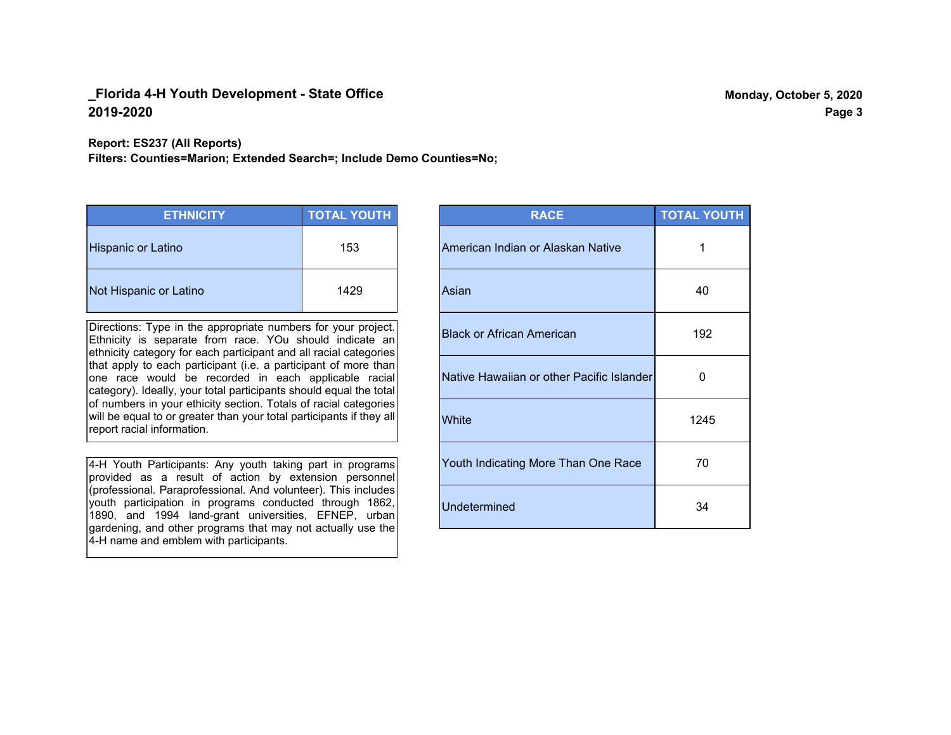#### **Report: ES237 (All Reports)**

**Filters: Counties=Marion; Extended Search=; Include Demo Counties=No;**

| <b>ETHNICITY</b>          | <b>TOTAL YOUTH</b> |
|---------------------------|--------------------|
| <b>Hispanic or Latino</b> | 153                |
| Not Hispanic or Latino    | 1429               |

Directions: Type in the appropriate numbers for your project. Ethnicity is separate from race. YOu should indicate an ethnicity category for each participant and all racial categories that apply to each participant (i.e. a participant of more than one race would be recorded in each applicable racial category). Ideally, your total participants should equal the total of numbers in your ethicity section. Totals of racial categories will be equal to or greater than your total participants if they all report racial information.

4-H Youth Participants: Any youth taking part in programs provided as a result of action by extension personnel (professional. Paraprofessional. And volunteer). This includes youth participation in programs conducted through 1862, 1890, and 1994 land-grant universities, EFNEP, urban gardening, and other programs that may not actually use the 4-H name and emblem with participants.

| <b>RACE</b>                               | <b>TOTAL YOUTH</b> |
|-------------------------------------------|--------------------|
| American Indian or Alaskan Native         | 1                  |
| Asian                                     | 40                 |
| <b>Black or African American</b>          | 192                |
| Native Hawaiian or other Pacific Islander | 0                  |
| White                                     | 1245               |
| Youth Indicating More Than One Race       | 70                 |
| <b>Undetermined</b>                       | 34                 |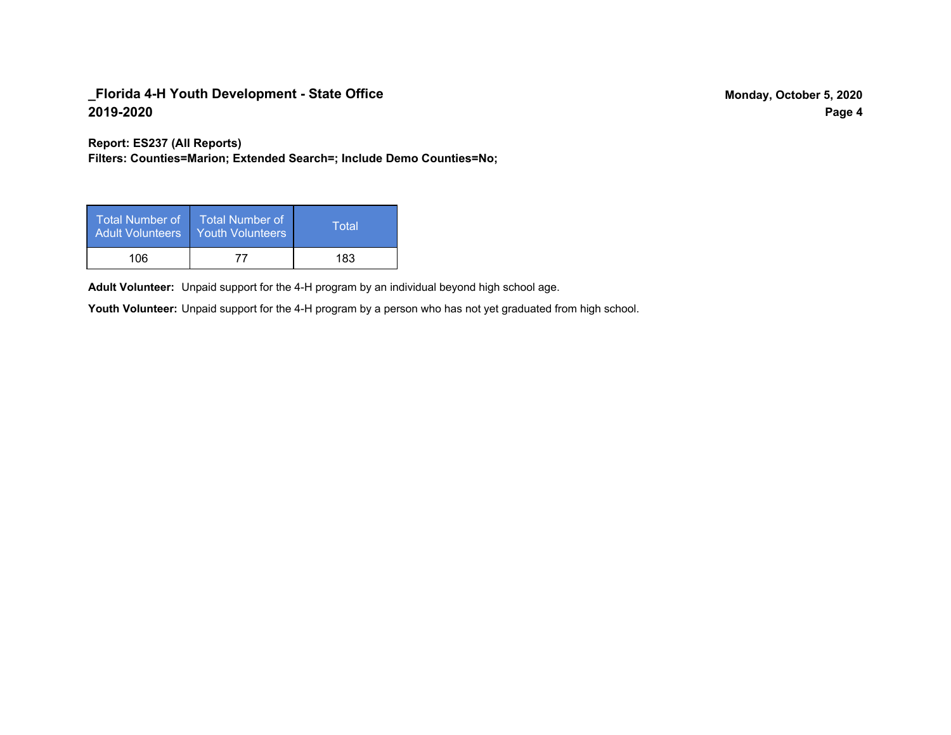**Report: ES237 (All Reports)**

**Filters: Counties=Marion; Extended Search=; Include Demo Counties=No;**

| Total Number of<br><b>Adult Volunteers</b> | <b>Total Number of</b><br><b>Youth Volunteers</b> | Total |
|--------------------------------------------|---------------------------------------------------|-------|
| 106                                        | 77                                                | 183   |

Adult Volunteer: Unpaid support for the 4-H program by an individual beyond high school age.

Youth Volunteer: Unpaid support for the 4-H program by a person who has not yet graduated from high school.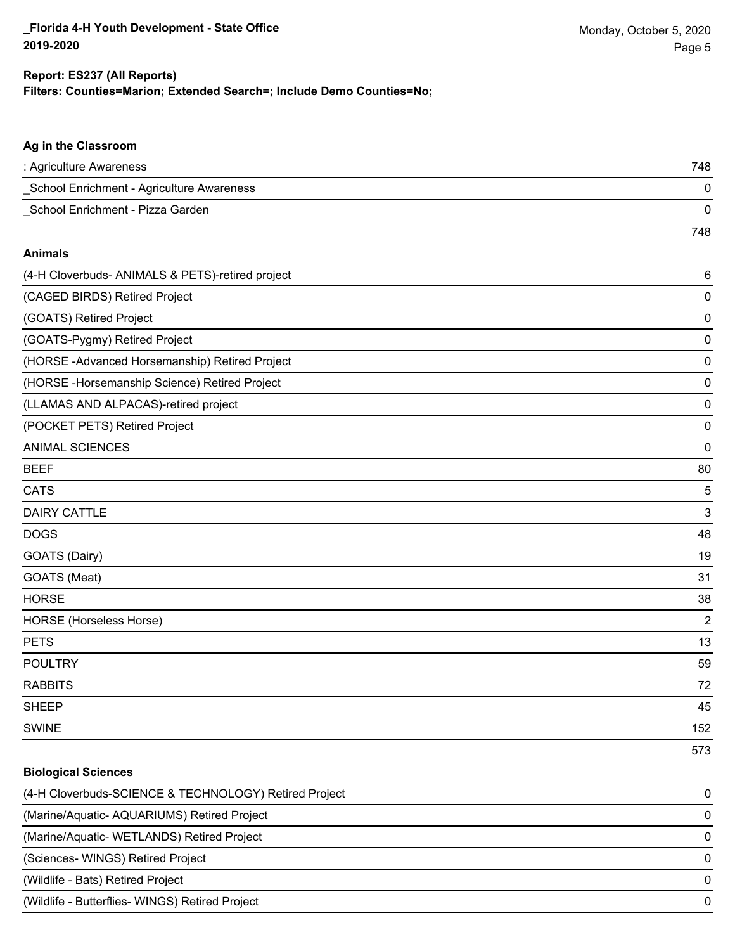#### **Ag in the Classroom**

| : Agriculture Awareness                   | 748 |
|-------------------------------------------|-----|
| School Enrichment - Agriculture Awareness |     |
| School Enrichment - Pizza Garden          |     |
|                                           | 748 |

#### **Animals**

| (4-H Cloverbuds- ANIMALS & PETS)-retired project | $\,6$          |
|--------------------------------------------------|----------------|
| (CAGED BIRDS) Retired Project                    | 0              |
| (GOATS) Retired Project                          | 0              |
| (GOATS-Pygmy) Retired Project                    | 0              |
| (HORSE-Advanced Horsemanship) Retired Project    | 0              |
| (HORSE-Horsemanship Science) Retired Project     | 0              |
| (LLAMAS AND ALPACAS)-retired project             | 0              |
| (POCKET PETS) Retired Project                    | $\mathbf 0$    |
| <b>ANIMAL SCIENCES</b>                           | $\mathbf 0$    |
| <b>BEEF</b>                                      | 80             |
| <b>CATS</b>                                      | 5              |
| <b>DAIRY CATTLE</b>                              | 3              |
| <b>DOGS</b>                                      | 48             |
| GOATS (Dairy)                                    | 19             |
| GOATS (Meat)                                     | 31             |
| <b>HORSE</b>                                     | 38             |
| <b>HORSE</b> (Horseless Horse)                   | $\overline{2}$ |
| <b>PETS</b>                                      | 13             |
| <b>POULTRY</b>                                   | 59             |
| <b>RABBITS</b>                                   | 72             |
| <b>SHEEP</b>                                     | 45             |
| <b>SWINE</b>                                     | 152            |
|                                                  | 573            |

#### **Biological Sciences**

| (4-H Cloverbuds-SCIENCE & TECHNOLOGY) Retired Project | 0        |
|-------------------------------------------------------|----------|
| (Marine/Aquatic-AQUARIUMS) Retired Project            | 0        |
| (Marine/Aquatic-WETLANDS) Retired Project             | $\Omega$ |
| (Sciences- WINGS) Retired Project                     |          |
| (Wildlife - Bats) Retired Project                     |          |
| (Wildlife - Butterflies- WINGS) Retired Project       | 0        |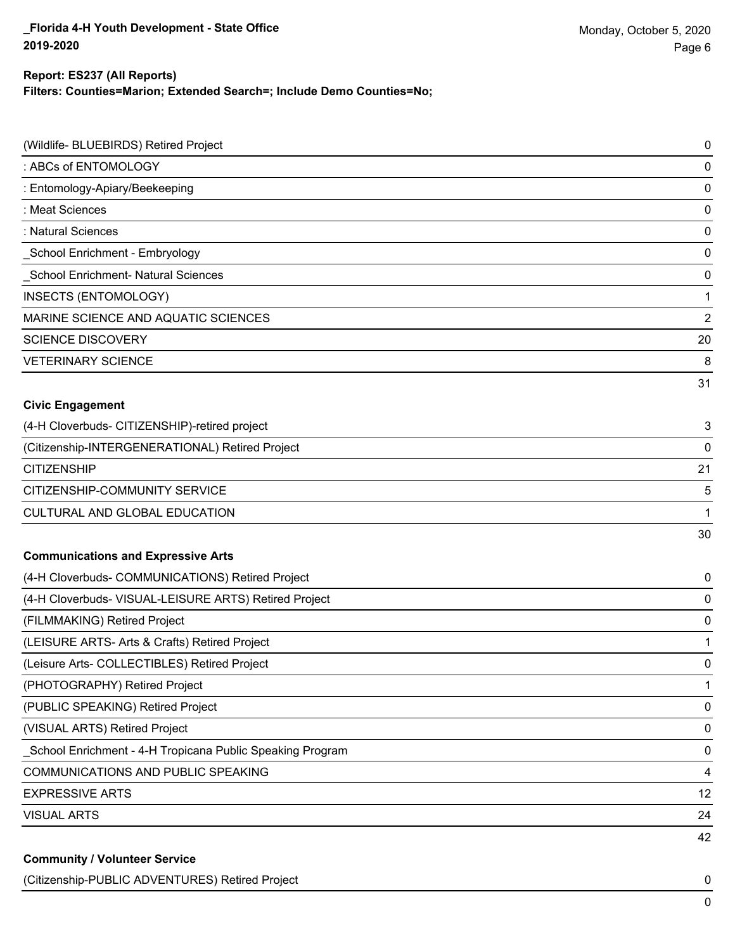### **Report: ES237 (All Reports)**

**Filters: Counties=Marion; Extended Search=; Include Demo Counties=No;**

| (Wildlife- BLUEBIRDS) Retired Project                      | $\mathbf 0$    |
|------------------------------------------------------------|----------------|
| : ABCs of ENTOMOLOGY                                       | 0              |
| : Entomology-Apiary/Beekeeping                             | 0              |
| : Meat Sciences                                            | 0              |
| : Natural Sciences                                         | 0              |
| _School Enrichment - Embryology                            | 0              |
| School Enrichment- Natural Sciences                        | 0              |
| INSECTS (ENTOMOLOGY)                                       | 1              |
| MARINE SCIENCE AND AQUATIC SCIENCES                        | $\overline{2}$ |
| <b>SCIENCE DISCOVERY</b>                                   | 20             |
| <b>VETERINARY SCIENCE</b>                                  | 8              |
|                                                            | 31             |
| <b>Civic Engagement</b>                                    |                |
| (4-H Cloverbuds- CITIZENSHIP)-retired project              | 3              |
| (Citizenship-INTERGENERATIONAL) Retired Project            | 0              |
| <b>CITIZENSHIP</b>                                         | 21             |
| CITIZENSHIP-COMMUNITY SERVICE                              | 5              |
| CULTURAL AND GLOBAL EDUCATION                              | 1              |
|                                                            | 30             |
| <b>Communications and Expressive Arts</b>                  |                |
| (4-H Cloverbuds- COMMUNICATIONS) Retired Project           | 0              |
| (4-H Cloverbuds- VISUAL-LEISURE ARTS) Retired Project      | 0              |
| (FILMMAKING) Retired Project                               | 0              |
| (LEISURE ARTS- Arts & Crafts) Retired Project              | 1              |
| (Leisure Arts- COLLECTIBLES) Retired Project               | 0              |
| (PHOTOGRAPHY) Retired Project                              | 1              |
| (PUBLIC SPEAKING) Retired Project                          | 0              |
| (VISUAL ARTS) Retired Project                              | 0              |
| _School Enrichment - 4-H Tropicana Public Speaking Program | $\mathbf 0$    |
| COMMUNICATIONS AND PUBLIC SPEAKING                         | 4              |
| <b>EXPRESSIVE ARTS</b>                                     | 12             |
| <b>VISUAL ARTS</b>                                         | 24             |
|                                                            | 42             |
| <b>Community / Volunteer Service</b>                       |                |

(Citizenship-PUBLIC ADVENTURES) Retired Project 0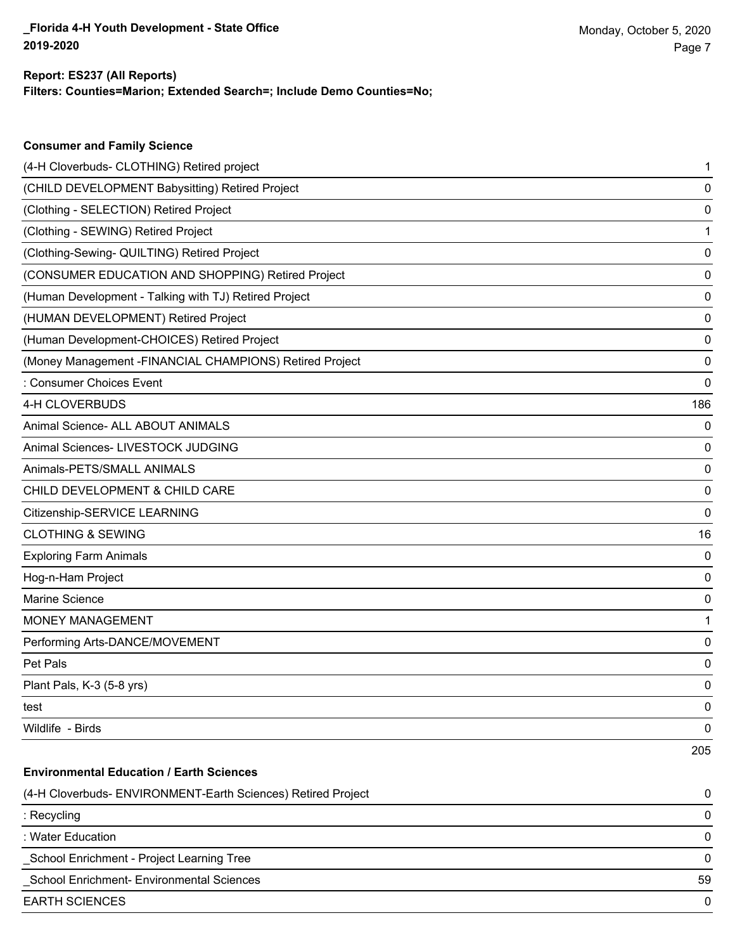#### **Filters: Counties=Marion; Extended Search=; Include Demo Counties=No; Report: ES237 (All Reports)**

| <b>Consumer and Family Science</b>                       |     |
|----------------------------------------------------------|-----|
| (4-H Cloverbuds- CLOTHING) Retired project               | 1   |
| (CHILD DEVELOPMENT Babysitting) Retired Project          | 0   |
| (Clothing - SELECTION) Retired Project                   | 0   |
| (Clothing - SEWING) Retired Project                      | 1   |
| (Clothing-Sewing- QUILTING) Retired Project              | 0   |
| (CONSUMER EDUCATION AND SHOPPING) Retired Project        | 0   |
| (Human Development - Talking with TJ) Retired Project    | 0   |
| (HUMAN DEVELOPMENT) Retired Project                      | 0   |
| (Human Development-CHOICES) Retired Project              | 0   |
| (Money Management - FINANCIAL CHAMPIONS) Retired Project | 0   |
| Consumer Choices Event                                   | 0   |
| 4-H CLOVERBUDS                                           | 186 |
| Animal Science- ALL ABOUT ANIMALS                        | 0   |
| Animal Sciences- LIVESTOCK JUDGING                       | 0   |
| Animals-PETS/SMALL ANIMALS                               | 0   |
| CHILD DEVELOPMENT & CHILD CARE                           | 0   |
| Citizenship-SERVICE LEARNING                             | 0   |
| <b>CLOTHING &amp; SEWING</b>                             | 16  |
| <b>Exploring Farm Animals</b>                            | 0   |
| Hog-n-Ham Project                                        | 0   |
| Marine Science                                           | 0   |
| <b>MONEY MANAGEMENT</b>                                  | 1   |
| Performing Arts-DANCE/MOVEMENT                           | 0   |
| Pet Pals                                                 | 0   |
| Plant Pals, K-3 (5-8 yrs)                                | 0   |
| test                                                     | 0   |
| Wildlife - Birds                                         | 0   |
|                                                          | 205 |

205

# (4-H Cloverbuds- ENVIRONMENT-Earth Sciences) Retired Project 0 : Recycling 0 : Water Education 0 \_School Enrichment - Project Learning Tree 0 \_School Enrichment- Environmental Sciences 59 EARTH SCIENCES 0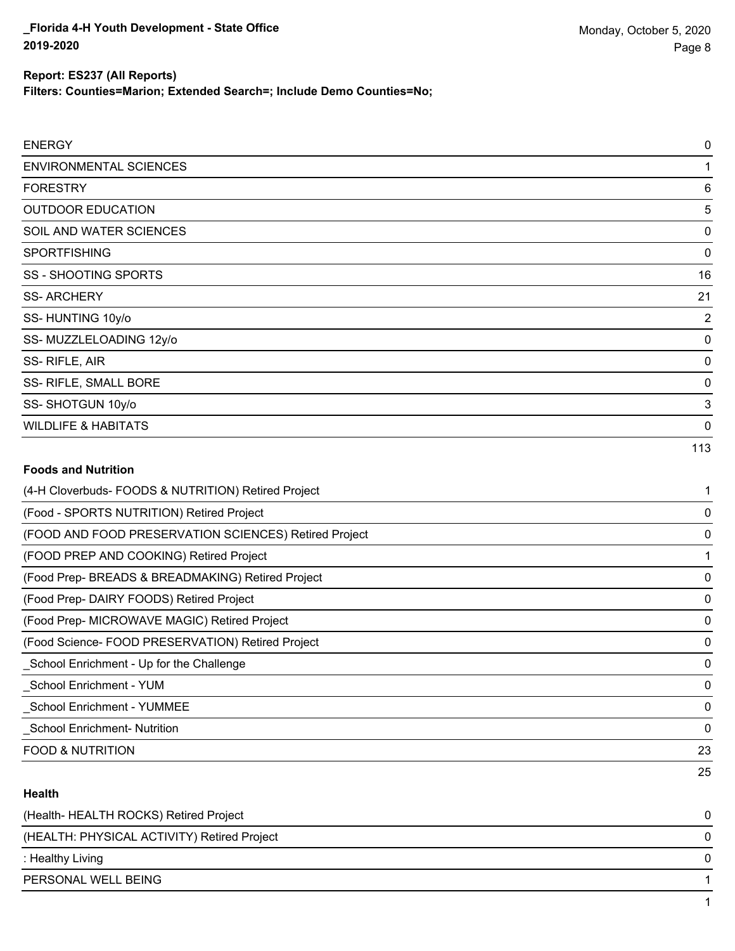**Filters: Counties=Marion; Extended Search=; Include Demo Counties=No;**

| <b>ENERGY</b>                                         | $\mathbf 0$ |
|-------------------------------------------------------|-------------|
| <b>ENVIRONMENTAL SCIENCES</b>                         | 1           |
| <b>FORESTRY</b>                                       | 6           |
| <b>OUTDOOR EDUCATION</b>                              | 5           |
| SOIL AND WATER SCIENCES                               | 0           |
| <b>SPORTFISHING</b>                                   | 0           |
| <b>SS - SHOOTING SPORTS</b>                           | 16          |
| <b>SS-ARCHERY</b>                                     | 21          |
| SS-HUNTING 10y/o                                      | 2           |
| SS-MUZZLELOADING 12y/o                                | 0           |
| SS-RIFLE, AIR                                         | 0           |
| SS- RIFLE, SMALL BORE                                 | 0           |
| SS-SHOTGUN 10y/o                                      | 3           |
| <b>WILDLIFE &amp; HABITATS</b>                        | 0           |
|                                                       | 113         |
| <b>Foods and Nutrition</b>                            |             |
| (4-H Cloverbuds- FOODS & NUTRITION) Retired Project   | 1           |
| (Food - SPORTS NUTRITION) Retired Project             | 0           |
| (FOOD AND FOOD PRESERVATION SCIENCES) Retired Project | 0           |
| (FOOD PREP AND COOKING) Retired Project               | 1           |
| (Food Prep- BREADS & BREADMAKING) Retired Project     | 0           |

(Food Prep- DAIRY FOODS) Retired Project 0

(Food Prep- MICROWAVE MAGIC) Retired Project 0

(Food Science- FOOD PRESERVATION) Retired Project 0 \_School Enrichment - Up for the Challenge 0

\_School Enrichment - YUM 0

\_School Enrichment - YUMMEE 0

\_School Enrichment- Nutrition 0

FOOD & NUTRITION 23

### **Health**

| (Health-HEALTH ROCKS) Retired Project       | 0 |
|---------------------------------------------|---|
| (HEALTH: PHYSICAL ACTIVITY) Retired Project | 0 |
| : Healthy Living                            | 0 |
| PERSONAL WELL BEING                         |   |
|                                             |   |

25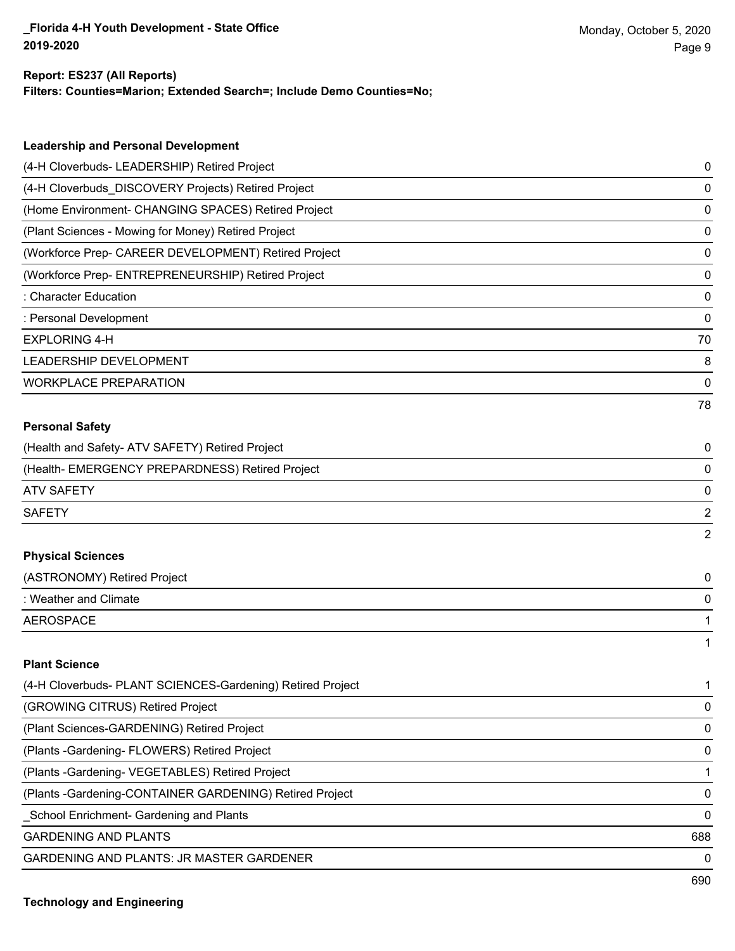#### **Report: ES237 (All Reports)**

**Filters: Counties=Marion; Extended Search=; Include Demo Counties=No;**

| <b>Leadership and Personal Development</b>                 |                |
|------------------------------------------------------------|----------------|
| (4-H Cloverbuds- LEADERSHIP) Retired Project               | 0              |
| (4-H Cloverbuds_DISCOVERY Projects) Retired Project        | 0              |
| (Home Environment- CHANGING SPACES) Retired Project        | 0              |
| (Plant Sciences - Mowing for Money) Retired Project        | 0              |
| (Workforce Prep- CAREER DEVELOPMENT) Retired Project       | 0              |
| (Workforce Prep- ENTREPRENEURSHIP) Retired Project         | 0              |
| : Character Education                                      | 0              |
| : Personal Development                                     | 0              |
| <b>EXPLORING 4-H</b>                                       | 70             |
| <b>LEADERSHIP DEVELOPMENT</b>                              | 8              |
| <b>WORKPLACE PREPARATION</b>                               | 0              |
|                                                            | 78             |
| <b>Personal Safety</b>                                     |                |
| (Health and Safety- ATV SAFETY) Retired Project            | 0              |
| (Health- EMERGENCY PREPARDNESS) Retired Project            | 0              |
| <b>ATV SAFETY</b>                                          | 0              |
| <b>SAFETY</b>                                              | $\overline{2}$ |
|                                                            | 2              |
| <b>Physical Sciences</b>                                   |                |
| (ASTRONOMY) Retired Project                                | 0              |
| : Weather and Climate                                      | 0              |
| <b>AEROSPACE</b>                                           | 1              |
|                                                            | 1              |
| <b>Plant Science</b>                                       |                |
| (4-H Cloverbuds- PLANT SCIENCES-Gardening) Retired Project | 1              |
| (GROWING CITRUS) Retired Project                           | 0              |
| (Plant Sciences-GARDENING) Retired Project                 | 0              |
| (Plants - Gardening - FLOWERS) Retired Project             | 0              |
| (Plants - Gardening- VEGETABLES) Retired Project           | 1              |
| (Plants - Gardening-CONTAINER GARDENING) Retired Project   | 0              |
| School Enrichment- Gardening and Plants                    | 0              |

GARDENING AND PLANTS 688

GARDENING AND PLANTS: JR MASTER GARDENER 0